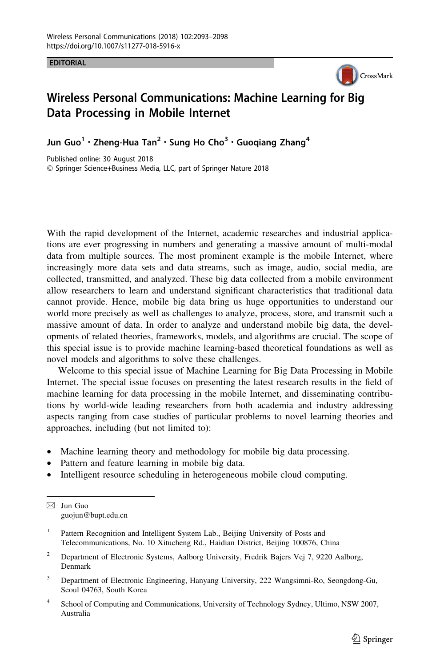EDITORIAL



## Wireless Personal Communications: Machine Learning for Big Data Processing in Mobile Internet

Jun Guo<sup>1</sup> • Zheng-Hua Tan<sup>2</sup> • Sung Ho Cho<sup>3</sup> • Guogiang Zhang<sup>4</sup>

Published online: 30 August 2018 - Springer Science+Business Media, LLC, part of Springer Nature 2018

With the rapid development of the Internet, academic researches and industrial applications are ever progressing in numbers and generating a massive amount of multi-modal data from multiple sources. The most prominent example is the mobile Internet, where increasingly more data sets and data streams, such as image, audio, social media, are collected, transmitted, and analyzed. These big data collected from a mobile environment allow researchers to learn and understand significant characteristics that traditional data cannot provide. Hence, mobile big data bring us huge opportunities to understand our world more precisely as well as challenges to analyze, process, store, and transmit such a massive amount of data. In order to analyze and understand mobile big data, the developments of related theories, frameworks, models, and algorithms are crucial. The scope of this special issue is to provide machine learning-based theoretical foundations as well as novel models and algorithms to solve these challenges.

Welcome to this special issue of Machine Learning for Big Data Processing in Mobile Internet. The special issue focuses on presenting the latest research results in the field of machine learning for data processing in the mobile Internet, and disseminating contributions by world-wide leading researchers from both academia and industry addressing aspects ranging from case studies of particular problems to novel learning theories and approaches, including (but not limited to):

- Machine learning theory and methodology for mobile big data processing.
- Pattern and feature learning in mobile big data.
- Intelligent resource scheduling in heterogeneous mobile cloud computing.

- <sup>2</sup> Department of Electronic Systems, Aalborg University, Fredrik Bajers Vej 7, 9220 Aalborg, Denmark
- <sup>3</sup> Department of Electronic Engineering, Hanyang University, 222 Wangsimni-Ro, Seongdong-Gu, Seoul 04763, South Korea
- <sup>4</sup> School of Computing and Communications, University of Technology Sydney, Ultimo, NSW 2007, Australia

 $\boxtimes$  Jun Guo guojun@bupt.edu.cn

<sup>&</sup>lt;sup>1</sup> Pattern Recognition and Intelligent System Lab., Beijing University of Posts and Telecommunications, No. 10 Xitucheng Rd., Haidian District, Beijing 100876, China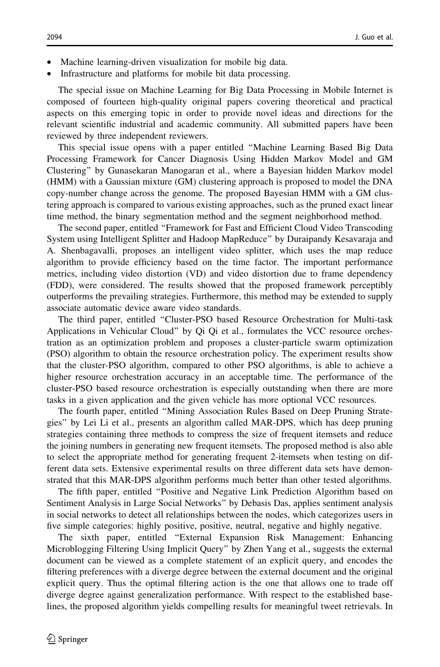- Machine learning-driven visualization for mobile big data.
- Infrastructure and platforms for mobile bit data processing.

The special issue on Machine Learning for Big Data Processing in Mobile Internet is composed of fourteen high-quality original papers covering theoretical and practical aspects on this emerging topic in order to provide novel ideas and directions for the relevant scientific industrial and academic community. All submitted papers have been reviewed by three independent reviewers.

This special issue opens with a paper entitled ''Machine Learning Based Big Data Processing Framework for Cancer Diagnosis Using Hidden Markov Model and GM Clustering'' by Gunasekaran Manogaran et al., where a Bayesian hidden Markov model (HMM) with a Gaussian mixture (GM) clustering approach is proposed to model the DNA copy-number change across the genome. The proposed Bayesian HMM with a GM clustering approach is compared to various existing approaches, such as the pruned exact linear time method, the binary segmentation method and the segment neighborhood method.

The second paper, entitled ''Framework for Fast and Efficient Cloud Video Transcoding System using Intelligent Splitter and Hadoop MapReduce'' by Duraipandy Kesavaraja and A. Shenbagavalli, proposes an intelligent video splitter, which uses the map reduce algorithm to provide efficiency based on the time factor. The important performance metrics, including video distortion (VD) and video distortion due to frame dependency (FDD), were considered. The results showed that the proposed framework perceptibly outperforms the prevailing strategies. Furthermore, this method may be extended to supply associate automatic device aware video standards.

The third paper, entitled ''Cluster-PSO based Resource Orchestration for Multi-task Applications in Vehicular Cloud'' by Qi Qi et al., formulates the VCC resource orchestration as an optimization problem and proposes a cluster-particle swarm optimization (PSO) algorithm to obtain the resource orchestration policy. The experiment results show that the cluster-PSO algorithm, compared to other PSO algorithms, is able to achieve a higher resource orchestration accuracy in an acceptable time. The performance of the cluster-PSO based resource orchestration is especially outstanding when there are more tasks in a given application and the given vehicle has more optional VCC resources.

The fourth paper, entitled ''Mining Association Rules Based on Deep Pruning Strategies'' by Lei Li et al., presents an algorithm called MAR-DPS, which has deep pruning strategies containing three methods to compress the size of frequent itemsets and reduce the joining numbers in generating new frequent itemsets. The proposed method is also able to select the appropriate method for generating frequent 2-itemsets when testing on different data sets. Extensive experimental results on three different data sets have demonstrated that this MAR-DPS algorithm performs much better than other tested algorithms.

The fifth paper, entitled ''Positive and Negative Link Prediction Algorithm based on Sentiment Analysis in Large Social Networks'' by Debasis Das, applies sentiment analysis in social networks to detect all relationships between the nodes, which categorizes users in five simple categories: highly positive, positive, neutral, negative and highly negative.

The sixth paper, entitled ''External Expansion Risk Management: Enhancing Microblogging Filtering Using Implicit Query'' by Zhen Yang et al., suggests the external document can be viewed as a complete statement of an explicit query, and encodes the filtering preferences with a diverge degree between the external document and the original explicit query. Thus the optimal filtering action is the one that allows one to trade off diverge degree against generalization performance. With respect to the established baselines, the proposed algorithm yields compelling results for meaningful tweet retrievals. In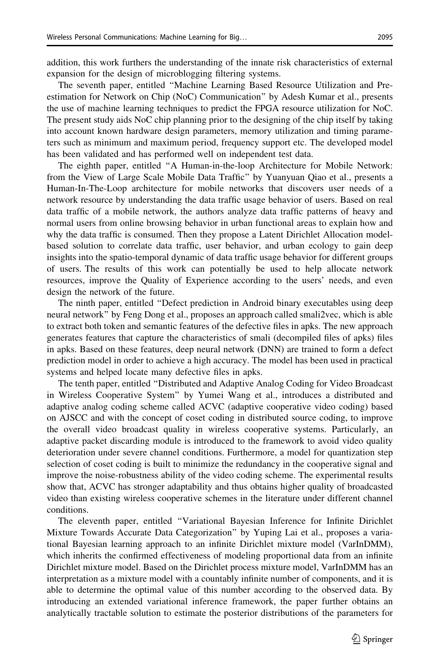addition, this work furthers the understanding of the innate risk characteristics of external expansion for the design of microblogging filtering systems.

The seventh paper, entitled ''Machine Learning Based Resource Utilization and Preestimation for Network on Chip (NoC) Communication'' by Adesh Kumar et al., presents the use of machine learning techniques to predict the FPGA resource utilization for NoC. The present study aids NoC chip planning prior to the designing of the chip itself by taking into account known hardware design parameters, memory utilization and timing parameters such as minimum and maximum period, frequency support etc. The developed model has been validated and has performed well on independent test data.

The eighth paper, entitled ''A Human-in-the-loop Architecture for Mobile Network: from the View of Large Scale Mobile Data Traffic'' by Yuanyuan Qiao et al., presents a Human-In-The-Loop architecture for mobile networks that discovers user needs of a network resource by understanding the data traffic usage behavior of users. Based on real data traffic of a mobile network, the authors analyze data traffic patterns of heavy and normal users from online browsing behavior in urban functional areas to explain how and why the data traffic is consumed. Then they propose a Latent Dirichlet Allocation modelbased solution to correlate data traffic, user behavior, and urban ecology to gain deep insights into the spatio-temporal dynamic of data traffic usage behavior for different groups of users. The results of this work can potentially be used to help allocate network resources, improve the Quality of Experience according to the users' needs, and even design the network of the future.

The ninth paper, entitled ''Defect prediction in Android binary executables using deep neural network'' by Feng Dong et al., proposes an approach called smali2vec, which is able to extract both token and semantic features of the defective files in apks. The new approach generates features that capture the characteristics of smali (decompiled files of apks) files in apks. Based on these features, deep neural network (DNN) are trained to form a defect prediction model in order to achieve a high accuracy. The model has been used in practical systems and helped locate many defective files in apks.

The tenth paper, entitled ''Distributed and Adaptive Analog Coding for Video Broadcast in Wireless Cooperative System'' by Yumei Wang et al., introduces a distributed and adaptive analog coding scheme called ACVC (adaptive cooperative video coding) based on AJSCC and with the concept of coset coding in distributed source coding, to improve the overall video broadcast quality in wireless cooperative systems. Particularly, an adaptive packet discarding module is introduced to the framework to avoid video quality deterioration under severe channel conditions. Furthermore, a model for quantization step selection of coset coding is built to minimize the redundancy in the cooperative signal and improve the noise-robustness ability of the video coding scheme. The experimental results show that, ACVC has stronger adaptability and thus obtains higher quality of broadcasted video than existing wireless cooperative schemes in the literature under different channel conditions.

The eleventh paper, entitled ''Variational Bayesian Inference for Infinite Dirichlet Mixture Towards Accurate Data Categorization'' by Yuping Lai et al., proposes a variational Bayesian learning approach to an infinite Dirichlet mixture model (VarInDMM), which inherits the confirmed effectiveness of modeling proportional data from an infinite Dirichlet mixture model. Based on the Dirichlet process mixture model, VarInDMM has an interpretation as a mixture model with a countably infinite number of components, and it is able to determine the optimal value of this number according to the observed data. By introducing an extended variational inference framework, the paper further obtains an analytically tractable solution to estimate the posterior distributions of the parameters for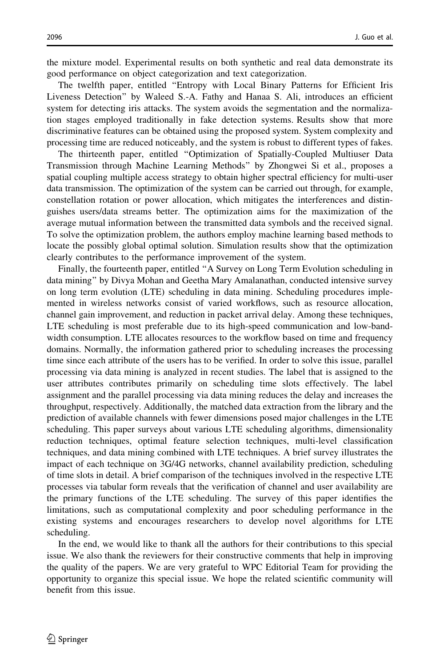the mixture model. Experimental results on both synthetic and real data demonstrate its good performance on object categorization and text categorization.

The twelfth paper, entitled ''Entropy with Local Binary Patterns for Efficient Iris Liveness Detection'' by Waleed S.-A. Fathy and Hanaa S. Ali, introduces an efficient system for detecting iris attacks. The system avoids the segmentation and the normalization stages employed traditionally in fake detection systems. Results show that more discriminative features can be obtained using the proposed system. System complexity and processing time are reduced noticeably, and the system is robust to different types of fakes.

The thirteenth paper, entitled ''Optimization of Spatially-Coupled Multiuser Data Transmission through Machine Learning Methods'' by Zhongwei Si et al., proposes a spatial coupling multiple access strategy to obtain higher spectral efficiency for multi-user data transmission. The optimization of the system can be carried out through, for example, constellation rotation or power allocation, which mitigates the interferences and distinguishes users/data streams better. The optimization aims for the maximization of the average mutual information between the transmitted data symbols and the received signal. To solve the optimization problem, the authors employ machine learning based methods to locate the possibly global optimal solution. Simulation results show that the optimization clearly contributes to the performance improvement of the system.

Finally, the fourteenth paper, entitled ''A Survey on Long Term Evolution scheduling in data mining'' by Divya Mohan and Geetha Mary Amalanathan, conducted intensive survey on long term evolution (LTE) scheduling in data mining. Scheduling procedures implemented in wireless networks consist of varied workflows, such as resource allocation, channel gain improvement, and reduction in packet arrival delay. Among these techniques, LTE scheduling is most preferable due to its high-speed communication and low-bandwidth consumption. LTE allocates resources to the workflow based on time and frequency domains. Normally, the information gathered prior to scheduling increases the processing time since each attribute of the users has to be verified. In order to solve this issue, parallel processing via data mining is analyzed in recent studies. The label that is assigned to the user attributes contributes primarily on scheduling time slots effectively. The label assignment and the parallel processing via data mining reduces the delay and increases the throughput, respectively. Additionally, the matched data extraction from the library and the prediction of available channels with fewer dimensions posed major challenges in the LTE scheduling. This paper surveys about various LTE scheduling algorithms, dimensionality reduction techniques, optimal feature selection techniques, multi-level classification techniques, and data mining combined with LTE techniques. A brief survey illustrates the impact of each technique on 3G/4G networks, channel availability prediction, scheduling of time slots in detail. A brief comparison of the techniques involved in the respective LTE processes via tabular form reveals that the verification of channel and user availability are the primary functions of the LTE scheduling. The survey of this paper identifies the limitations, such as computational complexity and poor scheduling performance in the existing systems and encourages researchers to develop novel algorithms for LTE scheduling.

In the end, we would like to thank all the authors for their contributions to this special issue. We also thank the reviewers for their constructive comments that help in improving the quality of the papers. We are very grateful to WPC Editorial Team for providing the opportunity to organize this special issue. We hope the related scientific community will benefit from this issue.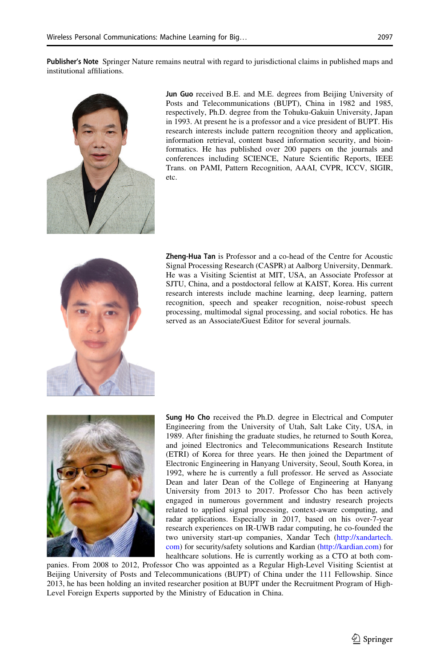Publisher's Note Springer Nature remains neutral with regard to jurisdictional claims in published maps and institutional affiliations.



Jun Guo received B.E. and M.E. degrees from Beijing University of Posts and Telecommunications (BUPT), China in 1982 and 1985, respectively, Ph.D. degree from the Tohuku-Gakuin University, Japan in 1993. At present he is a professor and a vice president of BUPT. His research interests include pattern recognition theory and application, information retrieval, content based information security, and bioinformatics. He has published over 200 papers on the journals and conferences including SCIENCE, Nature Scientific Reports, IEEE Trans. on PAMI, Pattern Recognition, AAAI, CVPR, ICCV, SIGIR, etc.



Zheng-Hua Tan is Professor and a co-head of the Centre for Acoustic Signal Processing Research (CASPR) at Aalborg University, Denmark. He was a Visiting Scientist at MIT, USA, an Associate Professor at SJTU, China, and a postdoctoral fellow at KAIST, Korea. His current research interests include machine learning, deep learning, pattern recognition, speech and speaker recognition, noise-robust speech processing, multimodal signal processing, and social robotics. He has served as an Associate/Guest Editor for several journals.



Sung Ho Cho received the Ph.D. degree in Electrical and Computer Engineering from the University of Utah, Salt Lake City, USA, in 1989. After finishing the graduate studies, he returned to South Korea, and joined Electronics and Telecommunications Research Institute (ETRI) of Korea for three years. He then joined the Department of Electronic Engineering in Hanyang University, Seoul, South Korea, in 1992, where he is currently a full professor. He served as Associate Dean and later Dean of the College of Engineering at Hanyang University from 2013 to 2017. Professor Cho has been actively engaged in numerous government and industry research projects related to applied signal processing, context-aware computing, and radar applications. Especially in 2017, based on his over-7-year research experiences on IR-UWB radar computing, he co-founded the two university start-up companies, Xandar Tech [\(http://xandartech.](http://xandartech.com) [com\)](http://xandartech.com) for security/safety solutions and Kardian (<http://kardian.com>) for healthcare solutions. He is currently working as a CTO at both com-

panies. From 2008 to 2012, Professor Cho was appointed as a Regular High-Level Visiting Scientist at Beijing University of Posts and Telecommunications (BUPT) of China under the 111 Fellowship. Since 2013, he has been holding an invited researcher position at BUPT under the Recruitment Program of High-Level Foreign Experts supported by the Ministry of Education in China.